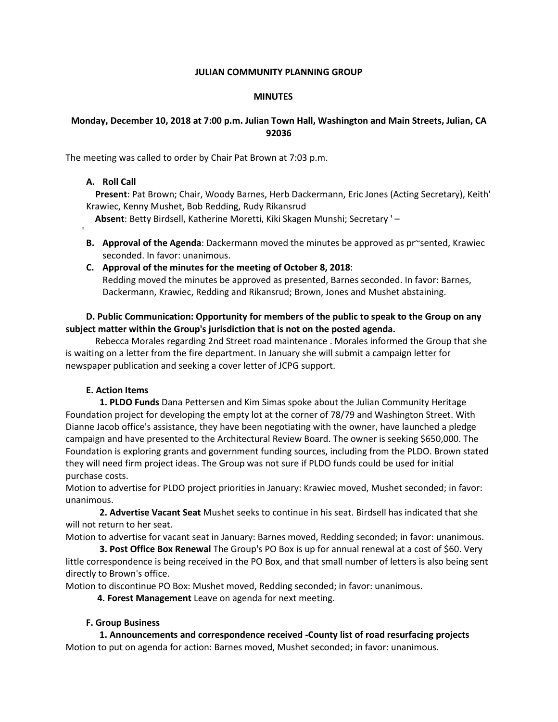#### **JULIAN COMMUNITY PLANNING GROUP**

#### **MINUTES**

## **Monday, December 10, 2018 at 7:00 p.m. Julian Town Hall, Washington and Main Streets, Julian, CA 92036**

The meeting was called to order by Chair Pat Brown at 7:03 p.m.

# **A. Roll Call**

'

 **Present**: Pat Brown; Chair, Woody Barnes, Herb Dackermann, Eric Jones (Acting Secretary), Keith' Krawiec, Kenny Mushet, Bob Redding, Rudy Rikansrud

 **Absent**: Betty Birdsell, Katherine Moretti, Kiki Skagen Munshi; Secretary ' –

**B. Approval of the Agenda**: Dackermann moved the minutes be approved as pr~sented, Krawiec seconded. In favor: unanimous.

# **C. Approval of the minutes for the meeting of October 8, 2018**:

Redding moved the minutes be approved as presented, Barnes seconded. In favor: Barnes, Dackermann, Krawiec, Redding and Rikansrud; Brown, Jones and Mushet abstaining.

# **D. Public Communication: Opportunity for members of the public to speak to the Group on any subject matter within the Group's jurisdiction that is not on the posted agenda.**

 Rebecca Morales regarding 2nd Street road maintenance . Morales informed the Group that she is waiting on a letter from the fire department. In January she will submit a campaign letter for newspaper publication and seeking a cover letter of JCPG support.

## **E. Action Items**

 **1. PLDO Funds** Dana Pettersen and Kim Simas spoke about the Julian Community Heritage Foundation project for developing the empty lot at the corner of 78/79 and Washington Street. With Dianne Jacob office's assistance, they have been negotiating with the owner, have launched a pledge campaign and have presented to the Architectural Review Board. The owner is seeking \$650,000. The Foundation is exploring grants and government funding sources, including from the PLDO. Brown stated they will need firm project ideas. The Group was not sure if PLDO funds could be used for initial purchase costs.

Motion to advertise for PLDO project priorities in January: Krawiec moved, Mushet seconded; in favor: unanimous.

 **2. Advertise Vacant Seat** Mushet seeks to continue in his seat. Birdsell has indicated that she will not return to her seat.

Motion to advertise for vacant seat in January: Barnes moved, Redding seconded; in favor: unanimous.

 **3. Post Office Box Renewal** The Group's PO Box is up for annual renewal at a cost of \$60. Very little correspondence is being received in the PO Box, and that small number of letters is also being sent directly to Brown's office.

Motion to discontinue PO Box: Mushet moved, Redding seconded; in favor: unanimous.

**4. Forest Management** Leave on agenda for next meeting.

# **F. Group Business**

 **1. Announcements and correspondence received -County list of road resurfacing projects**  Motion to put on agenda for action: Barnes moved, Mushet seconded; in favor: unanimous.